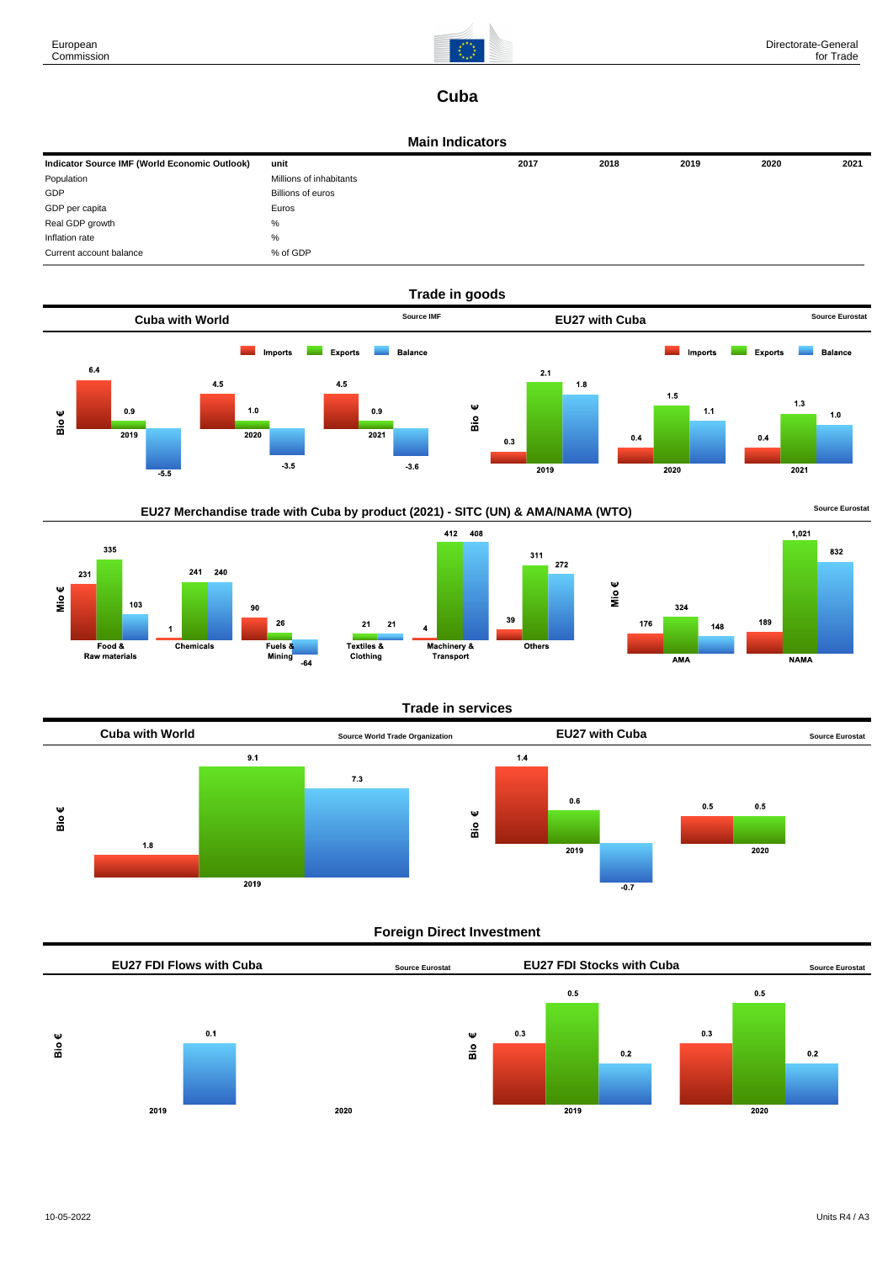

# **Cuba**

### **Main Indicators**

| Indicator Source IMF (World Economic Outlook) | unit                    | 2017 | 2018 | 2019 | 2020 | 2021 |
|-----------------------------------------------|-------------------------|------|------|------|------|------|
| Population                                    | Millions of inhabitants |      |      |      |      |      |
| GDP                                           | Billions of euros       |      |      |      |      |      |
| GDP per capita                                | Euros                   |      |      |      |      |      |
| Real GDP growth                               | %                       |      |      |      |      |      |
| Inflation rate                                | %                       |      |      |      |      |      |
| Current account balance                       | % of GDP                |      |      |      |      |      |







### **Trade in services**



### **Foreign Direct Investment**